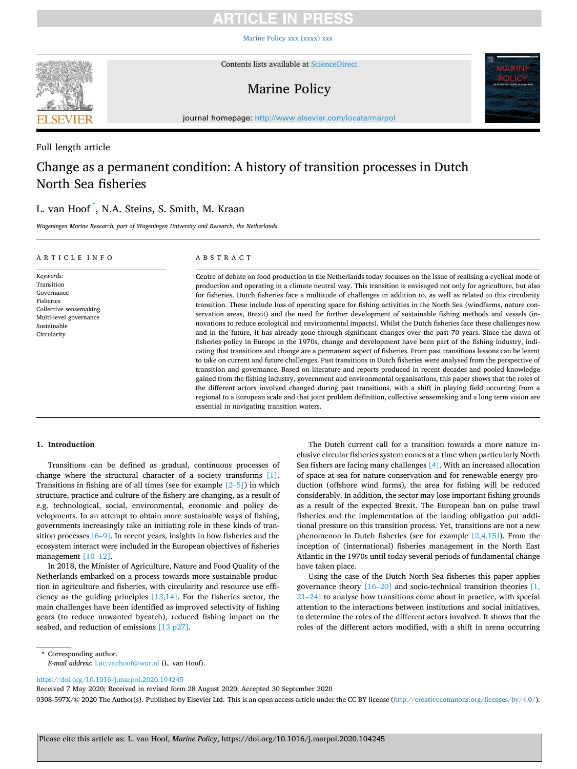[Marine Policy xxx \(xxxx\) xxx](https://doi.org/10.1016/j.marpol.2020.104245)



Contents lists available at [ScienceDirect](www.sciencedirect.com/science/journal/0308597X)

## Marine Policy



journal homepage: [http://www.elsevier.com/locate/marpol](https://http://www.elsevier.com/locate/marpol) 

### Full length article

# Change as a permanent condition: A history of transition processes in Dutch North Sea fisheries

## L. van Hoof \* , N.A. Steins, S. Smith, M. Kraan

*Wageningen Marine Research, part of Wageningen University and Research, the Netherlands* 

#### ARTICLE INFO

Collective sensemaking Multi-level governance Sustainable Circularity

*Keywords:*  Transition Governance Fisheries

#### ABSTRACT

Centre of debate on food production in the Netherlands today focusses on the issue of realising a cyclical mode of production and operating in a climate neutral way. This transition is envisaged not only for agriculture, but also for fisheries. Dutch fisheries face a multitude of challenges in addition to, as well as related to this circularity transition. These include loss of operating space for fishing activities in the North Sea (windfarms, nature conservation areas, Brexit) and the need for further development of sustainable fishing methods and vessels (innovations to reduce ecological and environmental impacts). Whilst the Dutch fisheries face these challenges now and in the future, it has already gone through significant changes over the past 70 years. Since the dawn of fisheries policy in Europe in the 1970s, change and development have been part of the fishing industry, indicating that transitions and change are a permanent aspect of fisheries. From past transitions lessons can be learnt to take on current and future challenges. Past transitions in Dutch fisheries were analysed from the perspective of transition and governance. Based on literature and reports produced in recent decades and pooled knowledge gained from the fishing industry, government and environmental organisations, this paper shows that the roles of the different actors involved changed during past transitions, with a shift in playing field occurring from a

essential in navigating transition waters.

#### **1. Introduction**

Transitions can be defined as gradual, continuous processes of change where the structural character of a society transforms [\[1\]](#page-8-0). Transitions in fishing are of all times (see for example [\[2](#page-8-0)–5]) in which structure, practice and culture of the fishery are changing, as a result of e.g. technological, social, environmental, economic and policy developments. In an attempt to obtain more sustainable ways of fishing, governments increasingly take an initiating role in these kinds of transition processes [6–[9\]](#page-8-0). In recent years, insights in how fisheries and the ecosystem interact were included in the European objectives of fisheries management [\[10](#page-8-0)–12].

In 2018, the Minister of Agriculture, Nature and Food Quality of the Netherlands embarked on a process towards more sustainable production in agriculture and fisheries, with circularity and resource use efficiency as the guiding principles [\[13,14\]](#page-8-0). For the fisheries sector, the main challenges have been identified as improved selectivity of fishing gears (to reduce unwanted bycatch), reduced fishing impact on the seabed, and reduction of emissions [\[13 p27\].](#page-8-0)

The Dutch current call for a transition towards a more nature inclusive circular fisheries system comes at a time when particularly North Sea fishers are facing many challenges [\[4\].](#page-8-0) With an increased allocation of space at sea for nature conservation and for renewable energy production (offshore wind farms), the area for fishing will be reduced considerably. In addition, the sector may lose important fishing grounds as a result of the expected Brexit. The European ban on pulse trawl fisheries and the implementation of the landing obligation put additional pressure on this transition process. Yet, transitions are not a new phenomenon in Dutch fisheries (see for example [\[2,4,15\]\)](#page-8-0). From the inception of (international) fisheries management in the North East Atlantic in the 1970s until today several periods of fundamental change have taken place.

regional to a European scale and that joint problem definition, collective sensemaking and a long term vision are

Using the case of the Dutch North Sea fisheries this paper applies governance theory [16–[20\]](#page-8-0) and socio-technical transition theories [\[1,](#page-8-0)  21–[24\]](#page-8-0) to analyse how transitions come about in practice, with special attention to the interactions between institutions and social initiatives, to determine the roles of the different actors involved. It shows that the roles of the different actors modified, with a shift in arena occurring

\* Corresponding author.

*E-mail address:* [Luc.vanhoof@wur.nl](mailto:Luc.vanhoof@wur.nl) (L. van Hoof).

<https://doi.org/10.1016/j.marpol.2020.104245>

Received 7 May 2020; Received in revised form 28 August 2020; Accepted 30 September 2020

0308-597X/©2020 The Author(s). Published by Elsevier Ltd. This is an open access article under the CC BY license ([http://creativecommons.org/licenses/by/4.0/\)](http://creativecommons.org/licenses/by/4.0/).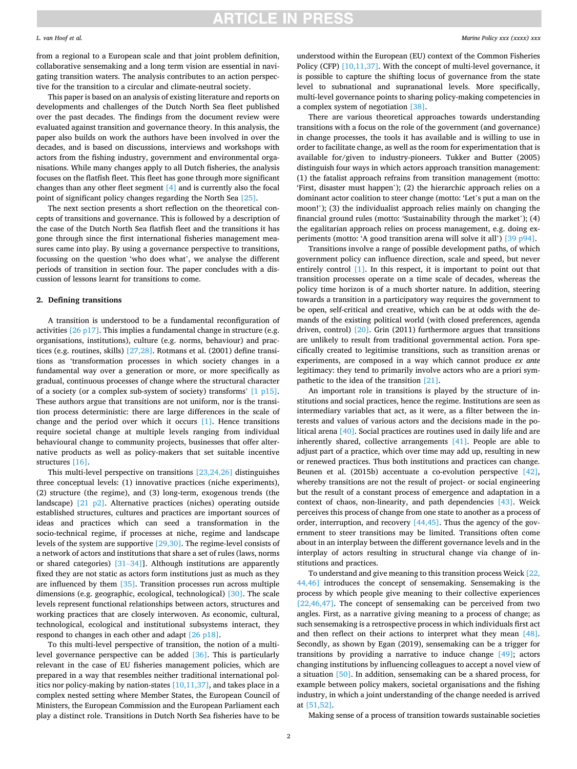#### *L. van Hoof et al.*

from a regional to a European scale and that joint problem definition, collaborative sensemaking and a long term vision are essential in navigating transition waters. The analysis contributes to an action perspective for the transition to a circular and climate-neutral society.

This paper is based on an analysis of existing literature and reports on developments and challenges of the Dutch North Sea fleet published over the past decades. The findings from the document review were evaluated against transition and governance theory. In this analysis, the paper also builds on work the authors have been involved in over the decades, and is based on discussions, interviews and workshops with actors from the fishing industry, government and environmental organisations. While many changes apply to all Dutch fisheries, the analysis focuses on the flatfish fleet. This fleet has gone through more significant changes than any other fleet segment [\[4\]](#page-8-0) and is currently also the focal point of significant policy changes regarding the North Sea [\[25\]](#page-8-0).

The next section presents a short reflection on the theoretical concepts of transitions and governance. This is followed by a description of the case of the Dutch North Sea flatfish fleet and the transitions it has gone through since the first international fisheries management measures came into play. By using a governance perspective to transitions, focussing on the question 'who does what', we analyse the different periods of transition in section four. The paper concludes with a discussion of lessons learnt for transitions to come.

### **2. Defining transitions**

A transition is understood to be a fundamental reconfiguration of activities  $[26 \text{ p17}]$ . This implies a fundamental change in structure (e.g. organisations, institutions), culture (e.g. norms, behaviour) and practices (e.g. routines, skills) [\[27,28\]](#page-8-0). Rotmans et al. (2001) define transitions as 'transformation processes in which society changes in a fundamental way over a generation or more, or more specifically as gradual, continuous processes of change where the structural character of a society (or a complex sub-system of society) transforms' [\[1 p15\]](#page-8-0). These authors argue that transitions are not uniform, nor is the transition process deterministic: there are large differences in the scale of change and the period over which it occurs [\[1\]](#page-8-0). Hence transitions require societal change at multiple levels ranging from individual behavioural change to community projects, businesses that offer alternative products as well as policy-makers that set suitable incentive structures [\[16\]](#page-8-0).

This multi-level perspective on transitions [\[23,24,26\]](#page-8-0) distinguishes three conceptual levels: (1) innovative practices (niche experiments), (2) structure (the regime), and (3) long-term, exogenous trends (the landscape) [\[21 p2\]](#page-8-0). Alternative practices (niches) operating outside established structures, cultures and practices are important sources of ideas and practices which can seed a transformation in the socio-technical regime, if processes at niche, regime and landscape levels of the system are supportive [\[29,30\]](#page-8-0). The regime-level consists of a network of actors and institutions that share a set of rules (laws, norms or shared categories) [31–[34\]\]](#page-8-0). Although institutions are apparently fixed they are not static as actors form institutions just as much as they are influenced by them [\[35\].](#page-8-0) Transition processes run across multiple dimensions (e.g. geographic, ecological, technological) [\[30\].](#page-8-0) The scale levels represent functional relationships between actors, structures and working practices that are closely interwoven. As economic, cultural, technological, ecological and institutional subsystems interact, they respond to changes in each other and adapt [\[26 p18\]](#page-8-0).

To this multi-level perspective of transition, the notion of a multilevel governance perspective can be added [\[36\]](#page-8-0). This is particularly relevant in the case of EU fisheries management policies, which are prepared in a way that resembles neither traditional international politics nor policy-making by nation-states  $[10,11,37]$ , and takes place in a complex nested setting where Member States, the European Council of Ministers, the European Commission and the European Parliament each play a distinct role. Transitions in Dutch North Sea fisheries have to be

understood within the European (EU) context of the Common Fisheries Policy (CFP) [\[10,11,37\].](#page-8-0) With the concept of multi-level governance, it is possible to capture the shifting locus of governance from the state level to subnational and supranational levels. More specifically, multi-level governance points to sharing policy-making competencies in a complex system of negotiation [\[38\].](#page-8-0)

There are various theoretical approaches towards understanding transitions with a focus on the role of the government (and governance) in change processes, the tools it has available and is willing to use in order to facilitate change, as well as the room for experimentation that is available for/given to industry-pioneers. Tukker and Butter (2005) distinguish four ways in which actors approach transition management: (1) the fatalist approach refrains from transition management (motto: 'First, disaster must happen'); (2) the hierarchic approach relies on a dominant actor coalition to steer change (motto: 'Let's put a man on the moon!'); (3) the individualist approach relies mainly on changing the financial ground rules (motto: 'Sustainability through the market'); (4) the egalitarian approach relies on process management, e.g. doing experiments (motto: 'A good transition arena will solve it all') [\[39 p94\]](#page-8-0).

Transitions involve a range of possible development paths, of which government policy can influence direction, scale and speed, but never entirely control [\[1\].](#page-8-0) In this respect, it is important to point out that transition processes operate on a time scale of decades, whereas the policy time horizon is of a much shorter nature. In addition, steering towards a transition in a participatory way requires the government to be open, self-critical and creative, which can be at odds with the demands of the existing political world (with closed preferences, agenda driven, control) [\[20\]](#page-8-0). Grin (2011) furthermore argues that transitions are unlikely to result from traditional governmental action. Fora specifically created to legitimise transitions, such as transition arenas or experiments, are composed in a way which cannot produce *ex ante*  legitimacy: they tend to primarily involve actors who are a priori sympathetic to the idea of the transition [\[21\].](#page-8-0)

An important role in transitions is played by the structure of institutions and social practices, hence the regime. Institutions are seen as intermediary variables that act, as it were, as a filter between the interests and values of various actors and the decisions made in the political arena [\[40\]](#page-8-0). Social practices are routines used in daily life and are inherently shared, collective arrangements [\[41\]](#page-8-0). People are able to adjust part of a practice, which over time may add up, resulting in new or renewed practices. Thus both institutions and practices can change. Beunen et al. (2015b) accentuate a co-evolution perspective [\[42\]](#page-8-0), whereby transitions are not the result of project- or social engineering but the result of a constant process of emergence and adaptation in a context of chaos, non-linearity, and path dependencies [\[43\].](#page-8-0) Weick perceives this process of change from one state to another as a process of order, interruption, and recovery [\[44,45\].](#page-8-0) Thus the agency of the government to steer transitions may be limited. Transitions often come about in an interplay between the different governance levels and in the interplay of actors resulting in structural change via change of institutions and practices.

To understand and give meaning to this transition process Weick [\[22,](#page-8-0)  [44,46\]](#page-8-0) introduces the concept of sensemaking. Sensemaking is the process by which people give meaning to their collective experiences [\[22,46,47\].](#page-8-0) The concept of sensemaking can be perceived from two angles. First, as a narrative giving meaning to a process of change; as such sensemaking is a retrospective process in which individuals first act and then reflect on their actions to interpret what they mean [\[48\]](#page-8-0). Secondly, as shown by Egan (2019), sensemaking can be a trigger for transitions by providing a narrative to induce change [\[49\];](#page-8-0) actors changing institutions by influencing colleagues to accept a novel view of a situation [\[50\]](#page-8-0). In addition, sensemaking can be a shared process, for example between policy makers, societal organisations and the fishing industry, in which a joint understanding of the change needed is arrived at [\[51,52\].](#page-8-0)

Making sense of a process of transition towards sustainable societies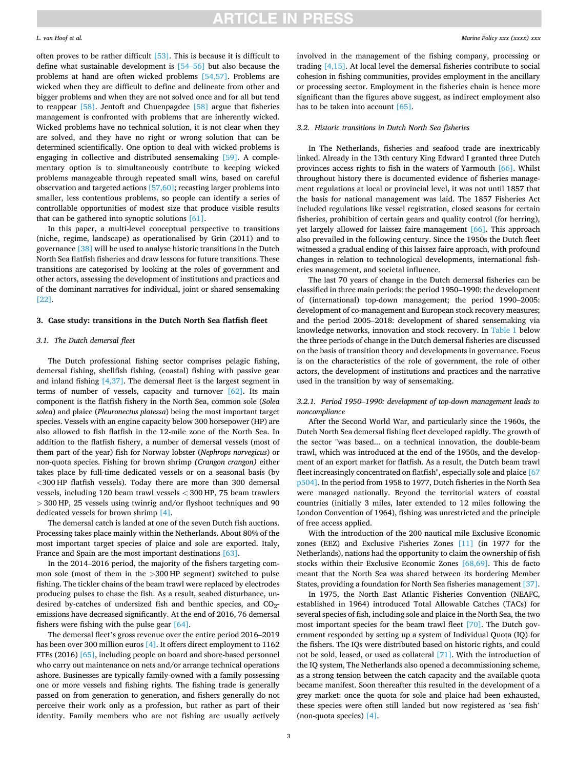#### *L. van Hoof et al.*

often proves to be rather difficult [\[53\].](#page-9-0) This is because it is difficult to define what sustainable development is [54–[56\]](#page-9-0) but also because the problems at hand are often wicked problems [\[54,57\].](#page-9-0) Problems are wicked when they are difficult to define and delineate from other and bigger problems and when they are not solved once and for all but tend to reappear [\[58\]](#page-9-0). Jentoft and Chuenpagdee [\[58\]](#page-9-0) argue that fisheries management is confronted with problems that are inherently wicked. Wicked problems have no technical solution, it is not clear when they are solved, and they have no right or wrong solution that can be determined scientifically. One option to deal with wicked problems is engaging in collective and distributed sensemaking [\[59\]](#page-9-0). A complementary option is to simultaneously contribute to keeping wicked problems manageable through repeated small wins, based on careful observation and targeted actions [\[57,60\]](#page-9-0); recasting larger problems into smaller, less contentious problems, so people can identify a series of controllable opportunities of modest size that produce visible results that can be gathered into synoptic solutions [\[61\].](#page-9-0)

In this paper, a multi-level conceptual perspective to transitions (niche, regime, landscape) as operationalised by Grin (2011) and to governance [\[38\]](#page-8-0) will be used to analyse historic transitions in the Dutch North Sea flatfish fisheries and draw lessons for future transitions. These transitions are categorised by looking at the roles of government and other actors, assessing the development of institutions and practices and of the dominant narratives for individual, joint or shared sensemaking [\[22\]](#page-8-0).

### **3. Case study: transitions in the Dutch North Sea flatfish fleet**

#### *3.1. The Dutch demersal fleet*

The Dutch professional fishing sector comprises pelagic fishing, demersal fishing, shellfish fishing, (coastal) fishing with passive gear and inland fishing [\[4,37\].](#page-8-0) The demersal fleet is the largest segment in terms of number of vessels, capacity and turnover [\[62\].](#page-9-0) Its main component is the flatfish fishery in the North Sea, common sole (*Solea solea*) and plaice (*Pleuronectus platessa*) being the most important target species. Vessels with an engine capacity below 300 horsepower (HP) are also allowed to fish flatfish in the 12-mile zone of the North Sea. In addition to the flatfish fishery, a number of demersal vessels (most of them part of the year) fish for Norway lobster (*Nephrops norvegicus*) or non-quota species. Fishing for brown shrimp *(Crangon crangon)* either takes place by full-time dedicated vessels or on a seasonal basis (by *<*300 HP flatfish vessels). Today there are more than 300 demersal vessels, including 120 beam trawl vessels *<* 300 HP, 75 beam trawlers *>* 300 HP, 25 vessels using twinrig and/or flyshoot techniques and 90 dedicated vessels for brown shrimp [\[4\]](#page-8-0).

The demersal catch is landed at one of the seven Dutch fish auctions. Processing takes place mainly within the Netherlands. About 80% of the most important target species of plaice and sole are exported. Italy, France and Spain are the most important destinations [\[63\].](#page-9-0)

In the 2014–2016 period, the majority of the fishers targeting common sole (most of them in the *>*300 HP segment) switched to pulse fishing. The tickler chains of the beam trawl were replaced by electrodes producing pulses to chase the fish. As a result, seabed disturbance, undesired by-catches of undersized fish and benthic species, and CO<sub>2</sub>emissions have decreased significantly. At the end of 2016, 76 demersal fishers were fishing with the pulse gear [\[64\].](#page-9-0)

The demersal fleet's gross revenue over the entire period 2016–2019 has been over 300 million euros [\[4\]](#page-8-0). It offers direct employment to 1162 FTEs (2016) [\[65\]](#page-9-0), including people on board and shore-based personnel who carry out maintenance on nets and/or arrange technical operations ashore. Businesses are typically family-owned with a family possessing one or more vessels and fishing rights. The fishing trade is generally passed on from generation to generation, and fishers generally do not perceive their work only as a profession, but rather as part of their identity. Family members who are not fishing are usually actively

involved in the management of the fishing company, processing or trading [\[4,15\].](#page-8-0) At local level the demersal fisheries contribute to social cohesion in fishing communities, provides employment in the ancillary or processing sector. Employment in the fisheries chain is hence more significant than the figures above suggest, as indirect employment also has to be taken into account [\[65\].](#page-9-0)

#### *3.2. Historic transitions in Dutch North Sea fisheries*

In The Netherlands, fisheries and seafood trade are inextricably linked. Already in the 13th century King Edward I granted three Dutch provinces access rights to fish in the waters of Yarmouth [\[66\].](#page-9-0) Whilst throughout history there is documented evidence of fisheries management regulations at local or provincial level, it was not until 1857 that the basis for national management was laid. The 1857 Fisheries Act included regulations like vessel registration, closed seasons for certain fisheries, prohibition of certain gears and quality control (for herring), yet largely allowed for laissez faire management [\[66\]](#page-9-0). This approach also prevailed in the following century. Since the 1950s the Dutch fleet witnessed a gradual ending of this laissez faire approach, with profound changes in relation to technological developments, international fisheries management, and societal influence.

The last 70 years of change in the Dutch demersal fisheries can be classified in three main periods: the period 1950–1990: the development of (international) top-down management; the period 1990–2005: development of co-management and European stock recovery measures; and the period 2005–2018: development of shared sensemaking via knowledge networks, innovation and stock recovery. In [Table 1](#page-3-0) below the three periods of change in the Dutch demersal fisheries are discussed on the basis of transition theory and developments in governance. Focus is on the characteristics of the role of government, the role of other actors, the development of institutions and practices and the narrative used in the transition by way of sensemaking.

### *3.2.1. Period 1950*–*1990: development of top-down management leads to noncompliance*

After the Second World War, and particularly since the 1960s, the Dutch North Sea demersal fishing fleet developed rapidly. The growth of the sector "was based... on a technical innovation, the double-beam trawl, which was introduced at the end of the 1950s, and the development of an export market for flatfish. As a result, the Dutch beam trawl fleet increasingly concentrated on flatfish", especially sole and plaice [\[67](#page-9-0)  [p504\].](#page-9-0) In the period from 1958 to 1977, Dutch fisheries in the North Sea were managed nationally. Beyond the territorial waters of coastal countries (initially 3 miles, later extended to 12 miles following the London Convention of 1964), fishing was unrestricted and the principle of free access applied.

With the introduction of the 200 nautical mile Exclusive Economic zones (EEZ) and Exclusive Fisheries Zones [\[11\]](#page-8-0) (in 1977 for the Netherlands), nations had the opportunity to claim the ownership of fish stocks within their Exclusive Economic Zones [\[68,69\].](#page-9-0) This de facto meant that the North Sea was shared between its bordering Member States, providing a foundation for North Sea fisheries management [\[37\]](#page-8-0).

In 1975, the North East Atlantic Fisheries Convention (NEAFC, established in 1964) introduced Total Allowable Catches (TACs) for several species of fish, including sole and plaice in the North Sea, the two most important species for the beam trawl fleet [\[70\].](#page-9-0) The Dutch government responded by setting up a system of Individual Quota (IQ) for the fishers. The IQs were distributed based on historic rights, and could not be sold, leased, or used as collateral [\[71\]](#page-9-0). With the introduction of the IQ system, The Netherlands also opened a decommissioning scheme, as a strong tension between the catch capacity and the available quota became manifest. Soon thereafter this resulted in the development of a grey market: once the quota for sole and plaice had been exhausted, these species were often still landed but now registered as 'sea fish' (non-quota species) [\[4\]](#page-8-0).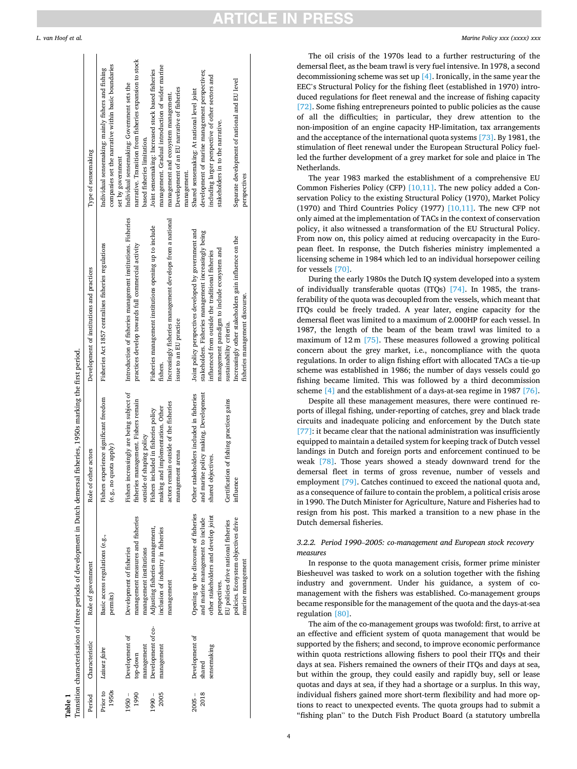**Table 1** 

<span id="page-3-0"></span>

|                  |                                          |                                                                                                                                                                            | Transition characterisation of three periods of development in Dutch demersal fisheries, 1950s marking the first period                             |                                                                                                                                                                                                                                                 |                                                                                                                                                                                                              |
|------------------|------------------------------------------|----------------------------------------------------------------------------------------------------------------------------------------------------------------------------|-----------------------------------------------------------------------------------------------------------------------------------------------------|-------------------------------------------------------------------------------------------------------------------------------------------------------------------------------------------------------------------------------------------------|--------------------------------------------------------------------------------------------------------------------------------------------------------------------------------------------------------------|
| Period           | Characteristic                           | Role of government                                                                                                                                                         | other actors<br>Role of                                                                                                                             | Development of institutions and practices                                                                                                                                                                                                       | Type of sensemaking                                                                                                                                                                                          |
| 1950s            | Prior to Laissez faire                   | Basic access regulations (e.g.,<br>permits)                                                                                                                                | experience significant freedom<br>(e.g., no quota apply)<br>Fishers                                                                                 | Fisheries Act 1857 centralises fisheries regulations                                                                                                                                                                                            | companies set the narrative within basic boundaries<br>Individual sensemaking: mainly fishers and fishing<br>set by government                                                                               |
| $1950 -$<br>1990 | Development of<br>management<br>top-down | management measures and fisheries<br>Development of fisheries<br>management institutions                                                                                   | Fishers increasingly are being subject of<br>fisheries management. Fishers remain<br>outside of shaping policy                                      | Introduction of fisheries management institutions. Fisheries<br>practices develop towards full commercial activity                                                                                                                              | narrative. Transition from fisheries expansion to stock<br>Individual sensemaking: Government sets the<br>based fisheries limitation.                                                                        |
| 2005<br>1990-    | Development of co-<br>management         | Adjusting fisheries management,<br>inclusion of industry in fisheries<br>management                                                                                        | actors remain outside of the fisheries<br>making and implementation. Other<br>Fishers included in fisheries policy<br>management arena              | Increasingly fisheries management develops from a national<br>Fisheries management institutions opening up to include<br>issue to an EU practice<br>fishers.                                                                                    | management. Gradual introduction of wider marine<br>Joint sensemaking: Increased stock based fisheries<br>Development of an EU narrative of fisheries<br>management and ecosystem management.<br>management. |
| $2005 -$<br>2018 | Development of<br>sensemaking<br>shared  | Opening up the discourse of fisheries<br>other stakeholders and develop joint<br>and marine management to include<br>EU policies drive national fisheries<br>perspectives. | and marine policy making. Development<br>Other stakeholders included in fisheries<br>Certification of fishing practices gains<br>shared objectives. | Joint policy perspectives developed by government and<br>stakeholders. Fisheries management increasingly being<br>management paradigm to include ecosystem and<br>influenced from outside the traditional fisheries<br>sustainability criteria. | development of marine management perspectives;<br>including larger perspective of other sectors and<br>Shared sensemaking: At national level joint<br>stakeholders in to the narrative.                      |
|                  |                                          | policies. Ecosystem objectives drive<br>marine management                                                                                                                  | influence                                                                                                                                           | Increasingly other stakeholders gain influence on the<br>fisheries management discourse.                                                                                                                                                        | Separate development of national and EU level<br>perspectives                                                                                                                                                |

The oil crisis of the 1970s lead to a further restructuring of the demersal fleet, as the beam trawl is very fuel intensive. In 1978, a second decommissioning scheme was set up [\[4\]](#page-8-0). Ironically, in the same year the EEC's Structural Policy for the fishing fleet (established in 1970) introduced regulations for fleet renewal and the increase of fishing capacity [\[72\]](#page-9-0). Some fishing entrepreneurs pointed to public policies as the cause of all the difficulties; in particular, they drew attention to the non-imposition of an engine capacity HP-limitation, tax arrangements and the acceptance of the international quota systems [\[73\].](#page-9-0) By 1981, the stimulation of fleet renewal under the European Structural Policy fuelled the further development of a grey market for sole and plaice in The Netherlands.

The year 1983 marked the establishment of a comprehensive EU Common Fisheries Policy (CFP) [\[10,11\]](#page-8-0). The new policy added a Conservation Policy to the existing Structural Policy (1970), Market Policy (1970) and Third Countries Policy (1977) [\[10,11\].](#page-8-0) The new CFP not only aimed at the implementation of TACs in the context of conservation policy, it also witnessed a transformation of the EU Structural Policy. From now on, this policy aimed at reducing overcapacity in the European fleet. In response, the Dutch fisheries ministry implemented a licensing scheme in 1984 which led to an individual horsepower ceiling for vessels [\[70\]](#page-9-0).

During the early 1980s the Dutch IQ system developed into a system of individually transferable quotas (ITQs) [\[74\]](#page-9-0). In 1985, the transferability of the quota was decoupled from the vessels, which meant that ITQs could be freely traded. A year later, engine capacity for the demersal fleet was limited to a maximum of 2.000HP for each vessel. In 1987, the length of the beam of the beam trawl was limited to a maximum of 12 m [\[75\]](#page-9-0). These measures followed a growing political concern about the grey market, i.e., noncompliance with the quota regulations. In order to align fishing effort with allocated TACs a tie-up scheme was established in 1986; the number of days vessels could go fishing became limited. This was followed by a third decommission scheme [\[4\]](#page-8-0) and the establishment of a days-at-sea regime in 1987 [\[76\]](#page-9-0).

Despite all these management measures, there were continued reports of illegal fishing, under-reporting of catches, grey and black trade circuits and inadequate policing and enforcement by the Dutch state [\[77\]](#page-9-0): it became clear that the national administration was insufficiently equipped to maintain a detailed system for keeping track of Dutch vessel landings in Dutch and foreign ports and enforcement continued to be weak [\[78\]](#page-9-0). Those years showed a steady downward trend for the demersal fleet in terms of gross revenue, number of vessels and employment [\[79\].](#page-9-0) Catches continued to exceed the national quota and, as a consequence of failure to contain the problem, a political crisis arose in 1990. The Dutch Minister for Agriculture, Nature and Fisheries had to resign from his post. This marked a transition to a new phase in the Dutch demersal fisheries.

### *3.2.2. Period 1990*–*2005: co-management and European stock recovery measures*

In response to the quota management crisis, former prime minister Biesheuvel was tasked to work on a solution together with the fishing industry and government. Under his guidance, a system of comanagement with the fishers was established. Co-management groups became responsible for the management of the quota and the days-at-sea regulation [\[80\].](#page-9-0)

The aim of the co-management groups was twofold: first, to arrive at an effective and efficient system of quota management that would be supported by the fishers; and second, to improve economic performance within quota restrictions allowing fishers to pool their ITQs and their days at sea. Fishers remained the owners of their ITQs and days at sea, but within the group, they could easily and rapidly buy, sell or lease quotas and days at sea, if they had a shortage or a surplus. In this way, individual fishers gained more short-term flexibility and had more options to react to unexpected events. The quota groups had to submit a "fishing plan" to the Dutch Fish Product Board (a statutory umbrella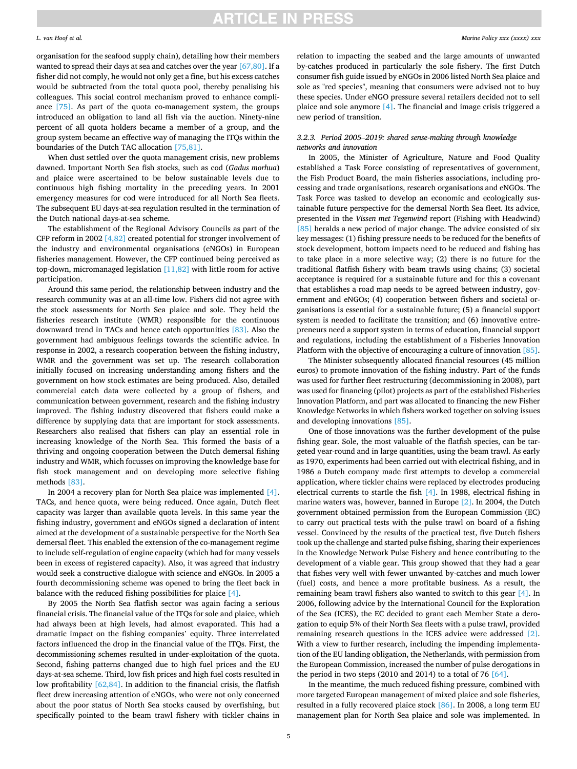#### *L. van Hoof et al.*

organisation for the seafood supply chain), detailing how their members wanted to spread their days at sea and catches over the year [\[67,80\].](#page-9-0) If a fisher did not comply, he would not only get a fine, but his excess catches would be subtracted from the total quota pool, thereby penalising his colleagues. This social control mechanism proved to enhance compliance [\[75\]](#page-9-0). As part of the quota co-management system, the groups introduced an obligation to land all fish via the auction. Ninety-nine percent of all quota holders became a member of a group, and the group system became an effective way of managing the ITQs within the boundaries of the Dutch TAC allocation [\[75,81\]](#page-9-0).

When dust settled over the quota management crisis, new problems dawned. Important North Sea fish stocks, such as cod (*Gadus morhua*) and plaice were ascertained to be below sustainable levels due to continuous high fishing mortality in the preceding years. In 2001 emergency measures for cod were introduced for all North Sea fleets. The subsequent EU days-at-sea regulation resulted in the termination of the Dutch national days-at-sea scheme.

The establishment of the Regional Advisory Councils as part of the CFP reform in 2002 [\[4,82\]](#page-8-0) created potential for stronger involvement of the industry and environmental organisations (eNGOs) in European fisheries management. However, the CFP continued being perceived as top-down, micromanaged legislation  $[11,82]$  with little room for active participation.

Around this same period, the relationship between industry and the research community was at an all-time low. Fishers did not agree with the stock assessments for North Sea plaice and sole. They held the fisheries research institute (WMR) responsible for the continuous downward trend in TACs and hence catch opportunities [\[83\].](#page-9-0) Also the government had ambiguous feelings towards the scientific advice. In response in 2002, a research cooperation between the fishing industry, WMR and the government was set up. The research collaboration initially focused on increasing understanding among fishers and the government on how stock estimates are being produced. Also, detailed commercial catch data were collected by a group of fishers, and communication between government, research and the fishing industry improved. The fishing industry discovered that fishers could make a difference by supplying data that are important for stock assessments. Researchers also realised that fishers can play an essential role in increasing knowledge of the North Sea. This formed the basis of a thriving and ongoing cooperation between the Dutch demersal fishing industry and WMR, which focusses on improving the knowledge base for fish stock management and on developing more selective fishing methods [\[83\].](#page-9-0)

In 2004 a recovery plan for North Sea plaice was implemented [\[4\]](#page-8-0). TACs, and hence quota, were being reduced. Once again, Dutch fleet capacity was larger than available quota levels. In this same year the fishing industry, government and eNGOs signed a declaration of intent aimed at the development of a sustainable perspective for the North Sea demersal fleet. This enabled the extension of the co-management regime to include self-regulation of engine capacity (which had for many vessels been in excess of registered capacity). Also, it was agreed that industry would seek a constructive dialogue with science and eNGOs. In 2005 a fourth decommissioning scheme was opened to bring the fleet back in balance with the reduced fishing possibilities for plaice [\[4\].](#page-8-0)

By 2005 the North Sea flatfish sector was again facing a serious financial crisis. The financial value of the ITQs for sole and plaice, which had always been at high levels, had almost evaporated. This had a dramatic impact on the fishing companies' equity. Three interrelated factors influenced the drop in the financial value of the ITQs. First, the decommissioning schemes resulted in under-exploitation of the quota. Second, fishing patterns changed due to high fuel prices and the EU days-at-sea scheme. Third, low fish prices and high fuel costs resulted in low profitability [\[62,84\].](#page-9-0) In addition to the financial crisis, the flatfish fleet drew increasing attention of eNGOs, who were not only concerned about the poor status of North Sea stocks caused by overfishing, but specifically pointed to the beam trawl fishery with tickler chains in

relation to impacting the seabed and the large amounts of unwanted by-catches produced in particularly the sole fishery. The first Dutch consumer fish guide issued by eNGOs in 2006 listed North Sea plaice and sole as "red species", meaning that consumers were advised not to buy these species. Under eNGO pressure several retailers decided not to sell plaice and sole anymore [\[4\]](#page-8-0). The financial and image crisis triggered a new period of transition.

### *3.2.3. Period 2005*–*2019: shared sense-making through knowledge networks and innovation*

In 2005, the Minister of Agriculture, Nature and Food Quality established a Task Force consisting of representatives of government, the Fish Product Board, the main fisheries associations, including processing and trade organisations, research organisations and eNGOs. The Task Force was tasked to develop an economic and ecologically sustainable future perspective for the demersal North Sea fleet. Its advice, presented in the *Vissen met Tegenwind* report (Fishing with Headwind) [\[85\]](#page-9-0) heralds a new period of major change. The advice consisted of six key messages: (1) fishing pressure needs to be reduced for the benefits of stock development, bottom impacts need to be reduced and fishing has to take place in a more selective way; (2) there is no future for the traditional flatfish fishery with beam trawls using chains; (3) societal acceptance is required for a sustainable future and for this a covenant that establishes a road map needs to be agreed between industry, government and eNGOs; (4) cooperation between fishers and societal organisations is essential for a sustainable future; (5) a financial support system is needed to facilitate the transition; and (6) innovative entrepreneurs need a support system in terms of education, financial support and regulations, including the establishment of a Fisheries Innovation Platform with the objective of encouraging a culture of innovation [\[85\]](#page-9-0).

The Minister subsequently allocated financial resources (45 million euros) to promote innovation of the fishing industry. Part of the funds was used for further fleet restructuring (decommissioning in 2008), part was used for financing (pilot) projects as part of the established Fisheries Innovation Platform, and part was allocated to financing the new Fisher Knowledge Networks in which fishers worked together on solving issues and developing innovations [\[85\].](#page-9-0)

One of those innovations was the further development of the pulse fishing gear. Sole, the most valuable of the flatfish species, can be targeted year-round and in large quantities, using the beam trawl. As early as 1970, experiments had been carried out with electrical fishing, and in 1986 a Dutch company made first attempts to develop a commercial application, where tickler chains were replaced by electrodes producing electrical currents to startle the fish [\[4\].](#page-8-0) In 1988, electrical fishing in marine waters was, however, banned in Europe [\[2\]](#page-8-0). In 2004, the Dutch government obtained permission from the European Commission (EC) to carry out practical tests with the pulse trawl on board of a fishing vessel. Convinced by the results of the practical test, five Dutch fishers took up the challenge and started pulse fishing, sharing their experiences in the Knowledge Network Pulse Fishery and hence contributing to the development of a viable gear. This group showed that they had a gear that fishes very well with fewer unwanted by-catches and much lower (fuel) costs, and hence a more profitable business. As a result, the remaining beam trawl fishers also wanted to switch to this gear [\[4\].](#page-8-0) In 2006, following advice by the International Council for the Exploration of the Sea (ICES), the EC decided to grant each Member State a derogation to equip 5% of their North Sea fleets with a pulse trawl, provided remaining research questions in the ICES advice were addressed [\[2\]](#page-8-0). With a view to further research, including the impending implementation of the EU landing obligation, the Netherlands, with permission from the European Commission, increased the number of pulse derogations in the period in two steps (2010 and 2014) to a total of 76 [\[64\]](#page-9-0).

In the meantime, the much reduced fishing pressure, combined with more targeted European management of mixed plaice and sole fisheries, resulted in a fully recovered plaice stock [\[86\].](#page-9-0) In 2008, a long term EU management plan for North Sea plaice and sole was implemented. In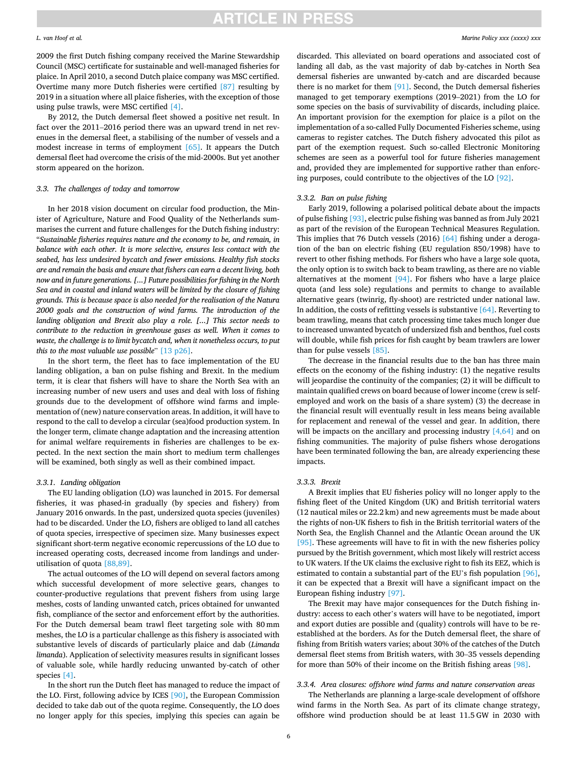#### *L. van Hoof et al.*

2009 the first Dutch fishing company received the Marine Stewardship Council (MSC) certificate for sustainable and well-managed fisheries for plaice. In April 2010, a second Dutch plaice company was MSC certified. Overtime many more Dutch fisheries were certified [\[87\]](#page-9-0) resulting by 2019 in a situation where all plaice fisheries, with the exception of those using pulse trawls, were MSC certified [\[4\].](#page-8-0)

By 2012, the Dutch demersal fleet showed a positive net result. In fact over the 2011–2016 period there was an upward trend in net revenues in the demersal fleet, a stabilising of the number of vessels and a modest increase in terms of employment [\[65\].](#page-9-0) It appears the Dutch demersal fleet had overcome the crisis of the mid-2000s. But yet another storm appeared on the horizon.

#### *3.3. The challenges of today and tomorrow*

In her 2018 vision document on circular food production, the Minister of Agriculture, Nature and Food Quality of the Netherlands summarises the current and future challenges for the Dutch fishing industry: "*Sustainable fisheries requires nature and the economy to be, and remain, in balance with each other. It is more selective, ensures less contact with the seabed, has less undesired bycatch and fewer emissions. Healthy fish stocks are and remain the basis and ensure that fishers can earn a decent living, both now and in future generations. [...] Future possibilities for fishing in the North Sea and in coastal and inland waters will be limited by the closure of fishing grounds. This is because space is also needed for the realisation of the Natura 2000 goals and the construction of wind farms. The introduction of the landing obligation and Brexit also play a role. [...] This sector needs to contribute to the reduction in greenhouse gases as well. When it comes to waste, the challenge is to limit bycatch and, when it nonetheless occurs, to put this to the most valuable use possible*" [\[13 p26\].](#page-8-0)

In the short term, the fleet has to face implementation of the EU landing obligation, a ban on pulse fishing and Brexit. In the medium term, it is clear that fishers will have to share the North Sea with an increasing number of new users and uses and deal with loss of fishing grounds due to the development of offshore wind farms and implementation of (new) nature conservation areas. In addition, it will have to respond to the call to develop a circular (sea)food production system. In the longer term, climate change adaptation and the increasing attention for animal welfare requirements in fisheries are challenges to be expected. In the next section the main short to medium term challenges will be examined, both singly as well as their combined impact.

#### *3.3.1. Landing obligation*

The EU landing obligation (LO) was launched in 2015. For demersal fisheries, it was phased-in gradually (by species and fishery) from January 2016 onwards. In the past, undersized quota species (juveniles) had to be discarded. Under the LO, fishers are obliged to land all catches of quota species, irrespective of specimen size. Many businesses expect significant short-term negative economic repercussions of the LO due to increased operating costs, decreased income from landings and underutilisation of quota [\[88,89\]](#page-9-0).

The actual outcomes of the LO will depend on several factors among which successful development of more selective gears, changes to counter-productive regulations that prevent fishers from using large meshes, costs of landing unwanted catch, prices obtained for unwanted fish, compliance of the sector and enforcement effort by the authorities. For the Dutch demersal beam trawl fleet targeting sole with 80 mm meshes, the LO is a particular challenge as this fishery is associated with substantive levels of discards of particularly plaice and dab (*Limanda limanda*). Application of selectivity measures results in significant losses of valuable sole, while hardly reducing unwanted by-catch of other species [\[4\].](#page-8-0)

In the short run the Dutch fleet has managed to reduce the impact of the LO. First, following advice by ICES [\[90\],](#page-9-0) the European Commission decided to take dab out of the quota regime. Consequently, the LO does no longer apply for this species, implying this species can again be

discarded. This alleviated on board operations and associated cost of landing all dab, as the vast majority of dab by-catches in North Sea demersal fisheries are unwanted by-catch and are discarded because there is no market for them [\[91\]](#page-9-0). Second, the Dutch demersal fisheries managed to get temporary exemptions (2019–2021) from the LO for some species on the basis of survivability of discards, including plaice. An important provision for the exemption for plaice is a pilot on the implementation of a so-called Fully Documented Fisheries scheme, using cameras to register catches. The Dutch fishery advocated this pilot as part of the exemption request. Such so-called Electronic Monitoring schemes are seen as a powerful tool for future fisheries management and, provided they are implemented for supportive rather than enforcing purposes, could contribute to the objectives of the LO [\[92\]](#page-9-0).

#### *3.3.2. Ban on pulse fishing*

Early 2019, following a polarised political debate about the impacts of pulse fishing [\[93\]](#page-9-0), electric pulse fishing was banned as from July 2021 as part of the revision of the European Technical Measures Regulation. This implies that 76 Dutch vessels (2016) [\[64\]](#page-9-0) fishing under a derogation of the ban on electric fishing (EU regulation 850/1998) have to revert to other fishing methods. For fishers who have a large sole quota, the only option is to switch back to beam trawling, as there are no viable alternatives at the moment [\[94\]](#page-9-0). For fishers who have a large plaice quota (and less sole) regulations and permits to change to available alternative gears (twinrig, fly-shoot) are restricted under national law. In addition, the costs of refitting vessels is substantive [\[64\].](#page-9-0) Reverting to beam trawling, means that catch processing time takes much longer due to increased unwanted bycatch of undersized fish and benthos, fuel costs will double, while fish prices for fish caught by beam trawlers are lower than for pulse vessels [\[85\]](#page-9-0).

The decrease in the financial results due to the ban has three main effects on the economy of the fishing industry: (1) the negative results will jeopardise the continuity of the companies; (2) it will be difficult to maintain qualified crews on board because of lower income (crew is selfemployed and work on the basis of a share system) (3) the decrease in the financial result will eventually result in less means being available for replacement and renewal of the vessel and gear. In addition, there will be impacts on the ancillary and processing industry  $[4,64]$  and on fishing communities. The majority of pulse fishers whose derogations have been terminated following the ban, are already experiencing these impacts.

#### *3.3.3. Brexit*

A Brexit implies that EU fisheries policy will no longer apply to the fishing fleet of the United Kingdom (UK) and British territorial waters (12 nautical miles or 22.2 km) and new agreements must be made about the rights of non-UK fishers to fish in the British territorial waters of the North Sea, the English Channel and the Atlantic Ocean around the UK [\[95\]](#page-9-0). These agreements will have to fit in with the new fisheries policy pursued by the British government, which most likely will restrict access to UK waters. If the UK claims the exclusive right to fish its EEZ, which is estimated to contain a substantial part of the EU's fish population [\[96\]](#page-9-0), it can be expected that a Brexit will have a significant impact on the European fishing industry [\[97\]](#page-9-0).

The Brexit may have major consequences for the Dutch fishing industry: access to each other's waters will have to be negotiated, import and export duties are possible and (quality) controls will have to be reestablished at the borders. As for the Dutch demersal fleet, the share of fishing from British waters varies; about 30% of the catches of the Dutch demersal fleet stems from British waters, with 30–35 vessels depending for more than 50% of their income on the British fishing areas [\[98\].](#page-9-0)

### *3.3.4. Area closures: offshore wind farms and nature conservation areas*

The Netherlands are planning a large-scale development of offshore wind farms in the North Sea. As part of its climate change strategy, offshore wind production should be at least 11.5 GW in 2030 with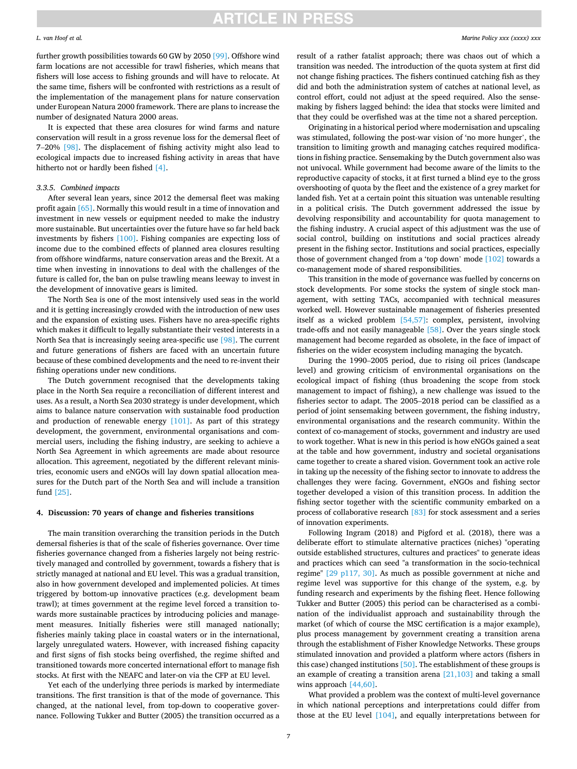#### *L. van Hoof et al.*

further growth possibilities towards 60 GW by 2050 [\[99\]](#page-9-0). Offshore wind farm locations are not accessible for trawl fisheries, which means that fishers will lose access to fishing grounds and will have to relocate. At the same time, fishers will be confronted with restrictions as a result of the implementation of the management plans for nature conservation under European Natura 2000 framework. There are plans to increase the number of designated Natura 2000 areas.

It is expected that these area closures for wind farms and nature conservation will result in a gross revenue loss for the demersal fleet of 7–20% [\[98\]](#page-9-0). The displacement of fishing activity might also lead to ecological impacts due to increased fishing activity in areas that have hitherto not or hardly been fished [\[4\]](#page-8-0).

#### *3.3.5. Combined impacts*

After several lean years, since 2012 the demersal fleet was making profit again [\[65\].](#page-9-0) Normally this would result in a time of innovation and investment in new vessels or equipment needed to make the industry more sustainable. But uncertainties over the future have so far held back investments by fishers [\[100\]](#page-9-0). Fishing companies are expecting loss of income due to the combined effects of planned area closures resulting from offshore windfarms, nature conservation areas and the Brexit. At a time when investing in innovations to deal with the challenges of the future is called for, the ban on pulse trawling means leeway to invest in the development of innovative gears is limited.

The North Sea is one of the most intensively used seas in the world and it is getting increasingly crowded with the introduction of new uses and the expansion of existing uses. Fishers have no area-specific rights which makes it difficult to legally substantiate their vested interests in a North Sea that is increasingly seeing area-specific use [\[98\]](#page-9-0). The current and future generations of fishers are faced with an uncertain future because of these combined developments and the need to re-invent their fishing operations under new conditions.

The Dutch government recognised that the developments taking place in the North Sea require a reconciliation of different interest and uses. As a result, a North Sea 2030 strategy is under development, which aims to balance nature conservation with sustainable food production and production of renewable energy  $[101]$ . As part of this strategy development, the government, environmental organisations and commercial users, including the fishing industry, are seeking to achieve a North Sea Agreement in which agreements are made about resource allocation. This agreement, negotiated by the different relevant ministries, economic users and eNGOs will lay down spatial allocation measures for the Dutch part of the North Sea and will include a transition fund [\[25\].](#page-8-0)

### **4. Discussion: 70 years of change and fisheries transitions**

The main transition overarching the transition periods in the Dutch demersal fisheries is that of the scale of fisheries governance. Over time fisheries governance changed from a fisheries largely not being restrictively managed and controlled by government, towards a fishery that is strictly managed at national and EU level. This was a gradual transition, also in how government developed and implemented policies. At times triggered by bottom-up innovative practices (e.g. development beam trawl); at times government at the regime level forced a transition towards more sustainable practices by introducing policies and management measures. Initially fisheries were still managed nationally; fisheries mainly taking place in coastal waters or in the international, largely unregulated waters. However, with increased fishing capacity and first signs of fish stocks being overfished, the regime shifted and transitioned towards more concerted international effort to manage fish stocks. At first with the NEAFC and later-on via the CFP at EU level.

Yet each of the underlying three periods is marked by intermediate transitions. The first transition is that of the mode of governance. This changed, at the national level, from top-down to cooperative governance. Following Tukker and Butter (2005) the transition occurred as a result of a rather fatalist approach; there was chaos out of which a transition was needed. The introduction of the quota system at first did not change fishing practices. The fishers continued catching fish as they did and both the administration system of catches at national level, as control effort, could not adjust at the speed required. Also the sensemaking by fishers lagged behind: the idea that stocks were limited and that they could be overfished was at the time not a shared perception.

Originating in a historical period where modernisation and upscaling was stimulated, following the post-war vision of 'no more hunger', the transition to limiting growth and managing catches required modifications in fishing practice. Sensemaking by the Dutch government also was not univocal. While government had become aware of the limits to the reproductive capacity of stocks, it at first turned a blind eye to the gross overshooting of quota by the fleet and the existence of a grey market for landed fish. Yet at a certain point this situation was untenable resulting in a political crisis. The Dutch government addressed the issue by devolving responsibility and accountability for quota management to the fishing industry. A crucial aspect of this adjustment was the use of social control, building on institutions and social practices already present in the fishing sector. Institutions and social practices, especially those of government changed from a 'top down' mode [\[102\]](#page-9-0) towards a co-management mode of shared responsibilities.

This transition in the mode of governance was fuelled by concerns on stock developments. For some stocks the system of single stock management, with setting TACs, accompanied with technical measures worked well. However sustainable management of fisheries presented itself as a wicked problem [\[54,57\]:](#page-9-0) complex, persistent, involving trade-offs and not easily manageable [\[58\]](#page-9-0). Over the years single stock management had become regarded as obsolete, in the face of impact of fisheries on the wider ecosystem including managing the bycatch.

During the 1990–2005 period, due to rising oil prices (landscape level) and growing criticism of environmental organisations on the ecological impact of fishing (thus broadening the scope from stock management to impact of fishing), a new challenge was issued to the fisheries sector to adapt. The 2005–2018 period can be classified as a period of joint sensemaking between government, the fishing industry, environmental organisations and the research community. Within the context of co-management of stocks, government and industry are used to work together. What is new in this period is how eNGOs gained a seat at the table and how government, industry and societal organisations came together to create a shared vision. Government took an active role in taking up the necessity of the fishing sector to innovate to address the challenges they were facing. Government, eNGOs and fishing sector together developed a vision of this transition process. In addition the fishing sector together with the scientific community embarked on a process of collaborative research [\[83\]](#page-9-0) for stock assessment and a series of innovation experiments.

Following Ingram (2018) and Pigford et al. (2018), there was a deliberate effort to stimulate alternative practices (niches) "operating outside established structures, cultures and practices" to generate ideas and practices which can seed "a transformation in the socio-technical regime" [\[29 p117, 30\]](#page-8-0). As much as possible government at niche and regime level was supportive for this change of the system, e.g. by funding research and experiments by the fishing fleet. Hence following Tukker and Butter (2005) this period can be characterised as a combination of the individualist approach and sustainability through the market (of which of course the MSC certification is a major example), plus process management by government creating a transition arena through the establishment of Fisher Knowledge Networks. These groups stimulated innovation and provided a platform where actors (fishers in this case) changed institutions [\[50\].](#page-8-0) The establishment of these groups is an example of creating a transition arena [\[21,103\]](#page-8-0) and taking a small wins approach [\[44,60\]](#page-8-0).

What provided a problem was the context of multi-level governance in which national perceptions and interpretations could differ from those at the EU level [\[104\],](#page-9-0) and equally interpretations between for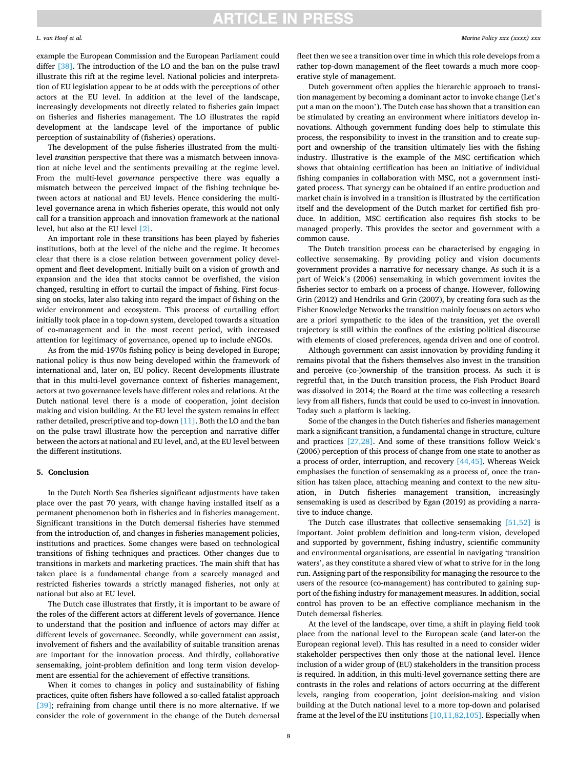#### *L. van Hoof et al.*

example the European Commission and the European Parliament could differ [\[38\]](#page-8-0). The introduction of the LO and the ban on the pulse trawl illustrate this rift at the regime level. National policies and interpretation of EU legislation appear to be at odds with the perceptions of other actors at the EU level. In addition at the level of the landscape, increasingly developments not directly related to fisheries gain impact on fisheries and fisheries management. The LO illustrates the rapid development at the landscape level of the importance of public perception of sustainability of (fisheries) operations.

The development of the pulse fisheries illustrated from the multilevel *transition* perspective that there was a mismatch between innovation at niche level and the sentiments prevailing at the regime level. From the multi-level *governance* perspective there was equally a mismatch between the perceived impact of the fishing technique between actors at national and EU levels. Hence considering the multilevel governance arena in which fisheries operate, this would not only call for a transition approach and innovation framework at the national level, but also at the EU level [\[2\]](#page-8-0).

An important role in these transitions has been played by fisheries institutions, both at the level of the niche and the regime. It becomes clear that there is a close relation between government policy development and fleet development. Initially built on a vision of growth and expansion and the idea that stocks cannot be overfished, the vision changed, resulting in effort to curtail the impact of fishing. First focussing on stocks, later also taking into regard the impact of fishing on the wider environment and ecosystem. This process of curtailing effort initially took place in a top-down system, developed towards a situation of co-management and in the most recent period, with increased attention for legitimacy of governance, opened up to include eNGOs.

As from the mid-1970s fishing policy is being developed in Europe; national policy is thus now being developed within the framework of international and, later on, EU policy. Recent developments illustrate that in this multi-level governance context of fisheries management, actors at two governance levels have different roles and relations. At the Dutch national level there is a mode of cooperation, joint decision making and vision building. At the EU level the system remains in effect rather detailed, prescriptive and top-down [\[11\].](#page-8-0) Both the LO and the ban on the pulse trawl illustrate how the perception and narrative differ between the actors at national and EU level, and, at the EU level between the different institutions.

### **5. Conclusion**

In the Dutch North Sea fisheries significant adjustments have taken place over the past 70 years, with change having installed itself as a permanent phenomenon both in fisheries and in fisheries management. Significant transitions in the Dutch demersal fisheries have stemmed from the introduction of, and changes in fisheries management policies, institutions and practices. Some changes were based on technological transitions of fishing techniques and practices. Other changes due to transitions in markets and marketing practices. The main shift that has taken place is a fundamental change from a scarcely managed and restricted fisheries towards a strictly managed fisheries, not only at national but also at EU level.

The Dutch case illustrates that firstly, it is important to be aware of the roles of the different actors at different levels of governance. Hence to understand that the position and influence of actors may differ at different levels of governance. Secondly, while government can assist, involvement of fishers and the availability of suitable transition arenas are important for the innovation process. And thirdly, collaborative sensemaking, joint-problem definition and long term vision development are essential for the achievement of effective transitions.

When it comes to changes in policy and sustainability of fishing practices, quite often fishers have followed a so-called fatalist approach [\[39\]](#page-8-0); refraining from change until there is no more alternative. If we consider the role of government in the change of the Dutch demersal fleet then we see a transition over time in which this role develops from a rather top-down management of the fleet towards a much more cooperative style of management.

Dutch government often applies the hierarchic approach to transition management by becoming a dominant actor to invoke change (Let's put a man on the moon'). The Dutch case has shown that a transition can be stimulated by creating an environment where initiators develop innovations. Although government funding does help to stimulate this process, the responsibility to invest in the transition and to create support and ownership of the transition ultimately lies with the fishing industry. Illustrative is the example of the MSC certification which shows that obtaining certification has been an initiative of individual fishing companies in collaboration with MSC, not a government instigated process. That synergy can be obtained if an entire production and market chain is involved in a transition is illustrated by the certification itself and the development of the Dutch market for certified fish produce. In addition, MSC certification also requires fish stocks to be managed properly. This provides the sector and government with a common cause.

The Dutch transition process can be characterised by engaging in collective sensemaking. By providing policy and vision documents government provides a narrative for necessary change. As such it is a part of Weick's (2006) sensemaking in which government invites the fisheries sector to embark on a process of change. However, following Grin (2012) and Hendriks and Grin (2007), by creating fora such as the Fisher Knowledge Networks the transition mainly focuses on actors who are a priori sympathetic to the idea of the transition, yet the overall trajectory is still within the confines of the existing political discourse with elements of closed preferences, agenda driven and one of control.

Although government can assist innovation by providing funding it remains pivotal that the fishers themselves also invest in the transition and perceive (co-)ownership of the transition process. As such it is regretful that, in the Dutch transition process, the Fish Product Board was dissolved in 2014; the Board at the time was collecting a research levy from all fishers, funds that could be used to co-invest in innovation. Today such a platform is lacking.

Some of the changes in the Dutch fisheries and fisheries management mark a significant transition, a fundamental change in structure, culture and practices [\[27,28\]](#page-8-0). And some of these transitions follow Weick's (2006) perception of this process of change from one state to another as a process of order, interruption, and recovery [\[44,45\]](#page-8-0). Whereas Weick emphasises the function of sensemaking as a process of, once the transition has taken place, attaching meaning and context to the new situation, in Dutch fisheries management transition, increasingly sensemaking is used as described by Egan (2019) as providing a narrative to induce change.

The Dutch case illustrates that collective sensemaking [\[51,52\]](#page-8-0) is important. Joint problem definition and long-term vision, developed and supported by government, fishing industry, scientific community and environmental organisations, are essential in navigating 'transition waters', as they constitute a shared view of what to strive for in the long run. Assigning part of the responsibility for managing the resource to the users of the resource (co-management) has contributed to gaining support of the fishing industry for management measures. In addition, social control has proven to be an effective compliance mechanism in the Dutch demersal fisheries.

At the level of the landscape, over time, a shift in playing field took place from the national level to the European scale (and later-on the European regional level). This has resulted in a need to consider wider stakeholder perspectives then only those at the national level. Hence inclusion of a wider group of (EU) stakeholders in the transition process is required. In addition, in this multi-level governance setting there are contrasts in the roles and relations of actors occurring at the different levels, ranging from cooperation, joint decision-making and vision building at the Dutch national level to a more top-down and polarised frame at the level of the EU institutions [\[10,11,82,105\]](#page-8-0). Especially when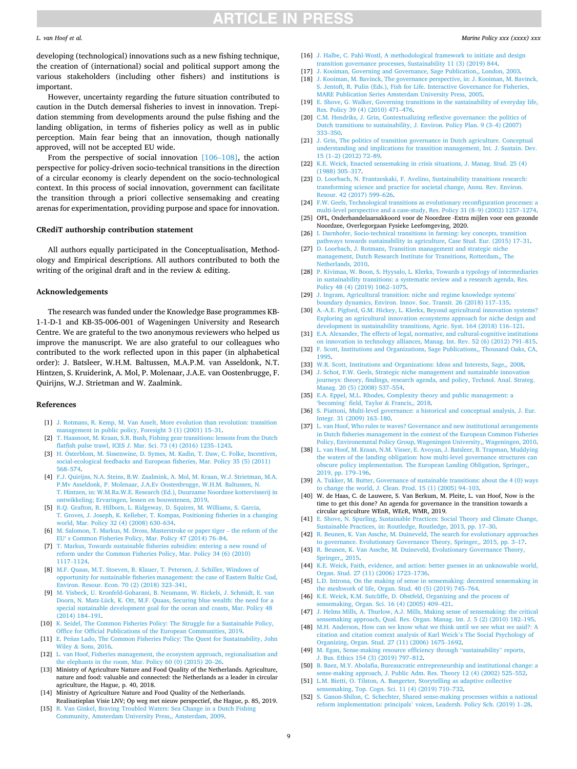#### <span id="page-8-0"></span>*L. van Hoof et al.*

developing (technological) innovations such as a new fishing technique, the creation of (international) social and political support among the various stakeholders (including other fishers) and institutions is important.

However, uncertainty regarding the future situation contributed to caution in the Dutch demersal fisheries to invest in innovation. Trepidation stemming from developments around the pulse fishing and the landing obligation, in terms of fisheries policy as well as in public perception. Main fear being that an innovation, though nationally approved, will not be accepted EU wide.

From the perspective of social innovation [106–[108\],](#page-9-0) the action perspective for policy-driven socio-technical transitions in the direction of a circular economy is clearly dependent on the socio-technological context. In this process of social innovation, government can facilitate the transition through a priori collective sensemaking and creating arenas for experimentation, providing purpose and space for innovation.

#### **CRediT authorship contribution statement**

All authors equally participated in the Conceptualisation, Methodology and Empirical descriptions. All authors contributed to both the writing of the original draft and in the review & editing.

#### **Acknowledgements**

The research was funded under the Knowledge Base programmes KB-1-1-D-1 and KB-35-006-001 of Wageningen University and Research Centre. We are grateful to the two anonymous reviewers who helped us improve the manuscript. We are also grateful to our colleagues who contributed to the work reflected upon in this paper (in alphabetical order): J. Batsleer, W.H.M. Baltussen, M.A.P.M. van Asseldonk, N.T. Hintzen, S. Kruiderink, A. Mol, P. Molenaar, J.A.E. van Oostenbrugge, F. Quirijns, W.J. Strietman and W. Zaalmink.

#### **References**

- [1] [J. Rotmans, R. Kemp, M. Van Asselt, More evolution than revolution: transition](http://refhub.elsevier.com/S0308-597X(20)30891-5/sbref1)  [management in public policy, Foresight 3 \(1\) \(2001\) 15](http://refhub.elsevier.com/S0308-597X(20)30891-5/sbref1)–31.
- [2] [T. Haasnoot, M. Kraan, S.R. Bush, Fishing gear transitions: lessons from the Dutch](http://refhub.elsevier.com/S0308-597X(20)30891-5/sbref2)  [flatfish pulse trawl, ICES J. Mar. Sci. 73 \(4\) \(2016\) 1235](http://refhub.elsevier.com/S0308-597X(20)30891-5/sbref2)–1243.
- [3] H. Österblom, [M. Sissenwine, D. Symes, M. Kadin, T. Daw, C. Folke, Incentives,](http://refhub.elsevier.com/S0308-597X(20)30891-5/sbref3) [social-ecological feedbacks and European fisheries, Mar. Policy 35 \(5\) \(2011\)](http://refhub.elsevier.com/S0308-597X(20)30891-5/sbref3) 568–[574](http://refhub.elsevier.com/S0308-597X(20)30891-5/sbref3).
- [4] [F.J. Quirijns, N.A. Steins, B.W. Zaalmink, A. Mol, M. Kraan, W.J. Strietman, M.A.](http://refhub.elsevier.com/S0308-597X(20)30891-5/sbref4)  [P.Mv Asseldonk, P. Molenaar, J.A.Ev Oostenbrugge, W.H.M. Baltussen, N.](http://refhub.elsevier.com/S0308-597X(20)30891-5/sbref4) [T. Hintzen, in: W.M.Ra.W.E. Research \(Ed.\), Duurzame Noordzee kottervisserij in](http://refhub.elsevier.com/S0308-597X(20)30891-5/sbref4)  [ontwikkeling; Ervaringen, lessen en bouwstenen, 2019](http://refhub.elsevier.com/S0308-597X(20)30891-5/sbref4).
- [5] [R.Q. Grafton, R. Hilborn, L. Ridgeway, D. Squires, M. Williams, S. Garcia,](http://refhub.elsevier.com/S0308-597X(20)30891-5/sbref5) [T. Groves, J. Joseph, K. Kelleher, T. Kompas, Positioning fisheries in a changing](http://refhub.elsevier.com/S0308-597X(20)30891-5/sbref5)  [world, Mar. Policy 32 \(4\) \(2008\) 630](http://refhub.elsevier.com/S0308-597X(20)30891-5/sbref5)–634.
- [6] [M. Salomon, T. Markus, M. Dross, Masterstroke or paper tiger](http://refhub.elsevier.com/S0308-597X(20)30891-5/sbref6)  the reform of the EU׳ [s Common Fisheries Policy, Mar. Policy 47 \(2014\) 76](http://refhub.elsevier.com/S0308-597X(20)30891-5/sbref6)–84.
- [7] [T. Markus, Towards sustainable fisheries subsidies: entering a new round of](http://refhub.elsevier.com/S0308-597X(20)30891-5/sbref7) [reform under the Common Fisheries Policy, Mar. Policy 34 \(6\) \(2010\)](http://refhub.elsevier.com/S0308-597X(20)30891-5/sbref7)  1117–[1124](http://refhub.elsevier.com/S0308-597X(20)30891-5/sbref7).
- [8] [M.F. Quaas, M.T. Stoeven, B. Klauer, T. Petersen, J. Schiller, Windows of](http://refhub.elsevier.com/S0308-597X(20)30891-5/sbref8) [opportunity for sustainable fisheries management: the case of Eastern Baltic Cod,](http://refhub.elsevier.com/S0308-597X(20)30891-5/sbref8)  [Environ. Resour. Econ. 70 \(2\) \(2018\) 323](http://refhub.elsevier.com/S0308-597X(20)30891-5/sbref8)–341.
- [9] [M. Visbeck, U. Kronfeld-Goharani, B. Neumann, W. Rickels, J. Schmidt, E. van](http://refhub.elsevier.com/S0308-597X(20)30891-5/sbref9) [Doorn, N. Matz-Lück, K. Ott, M.F. Quaas, Securing blue wealth: the need for a](http://refhub.elsevier.com/S0308-597X(20)30891-5/sbref9)  [special sustainable development goal for the ocean and coasts, Mar. Policy 48](http://refhub.elsevier.com/S0308-597X(20)30891-5/sbref9) [\(2014\) 184](http://refhub.elsevier.com/S0308-597X(20)30891-5/sbref9)–191.
- [10] [K. Seidel, The Common Fisheries Policy: The Struggle for a Sustainable Policy,](http://refhub.elsevier.com/S0308-597X(20)30891-5/sbref10)  [Office for Official Publications of the European Communities, 2019](http://refhub.elsevier.com/S0308-597X(20)30891-5/sbref10).
- [11] E. Peñas Lado, The Common Fisheries Policy: The Quest for Sustainability, John Wiley & [Sons, 2016.](http://refhub.elsevier.com/S0308-597X(20)30891-5/sbref11)
- [12] [L. van Hoof, Fisheries management, the ecosystem approach, regionalisation and](http://refhub.elsevier.com/S0308-597X(20)30891-5/sbref12)  [the elephants in the room, Mar. Policy 60 \(0\) \(2015\) 20](http://refhub.elsevier.com/S0308-597X(20)30891-5/sbref12)–26.
- [13] Ministry of Agriculture Nature and Food Quality of the Netherlands. Agriculture, nature and food: valuable and connected: the Netherlands as a leader in circular agriculture, the Hague, p. 40, 2018.
- [14] Ministry of Agriculture Nature and Food Quality of the Netherlands. Realisatieplan Visie LNV; Op weg met nieuw perspectief, the Hague, p. 85, 2019.
- [15] [R. Van Ginkel, Braving Troubled Waters: Sea Change in a Dutch Fishing](http://refhub.elsevier.com/S0308-597X(20)30891-5/sbref13) [Community, Amsterdam University Press,, Amsterdam, 2009](http://refhub.elsevier.com/S0308-597X(20)30891-5/sbref13).
- [16] [J. Halbe, C. Pahl-Wostl, A methodological framework to initiate and design](http://refhub.elsevier.com/S0308-597X(20)30891-5/sbref14)  [transition governance processes, Sustainability 11 \(3\) \(2019\) 844.](http://refhub.elsevier.com/S0308-597X(20)30891-5/sbref14)
- [17] [J. Kooiman, Governing and Governance, Sage Publication,, London, 2003](http://refhub.elsevier.com/S0308-597X(20)30891-5/sbref15).
- [18] [J. Kooiman, M. Bavinck, The governance perspective, in: J. Kooiman, M. Bavinck,](http://refhub.elsevier.com/S0308-597X(20)30891-5/sbref16)  [S. Jentoft, R. Pulin \(Eds.\), Fish for Life. Interactive Governance for Fisheries,](http://refhub.elsevier.com/S0308-597X(20)30891-5/sbref16) [MARE Publication Series Amsterdam University Press, 2005](http://refhub.elsevier.com/S0308-597X(20)30891-5/sbref16).
- [19] [E. Shove, G. Walker, Governing transitions in the sustainability of everyday life,](http://refhub.elsevier.com/S0308-597X(20)30891-5/sbref17)  [Res. Policy 39 \(4\) \(2010\) 471](http://refhub.elsevier.com/S0308-597X(20)30891-5/sbref17)–476.
- [20] [C.M. Hendriks, J. Grin, Contextualizing reflexive governance: the politics of](http://refhub.elsevier.com/S0308-597X(20)30891-5/sbref18)  [Dutch transitions to sustainability, J. Environ. Policy Plan. 9 \(3](http://refhub.elsevier.com/S0308-597X(20)30891-5/sbref18)–4) (2007) 333–[350.](http://refhub.elsevier.com/S0308-597X(20)30891-5/sbref18)
- [21] [J. Grin, The politics of transition governance in Dutch agriculture. Conceptual](http://refhub.elsevier.com/S0308-597X(20)30891-5/sbref19) [understanding and implications for transition management, Int. J. Sustain. Dev.](http://refhub.elsevier.com/S0308-597X(20)30891-5/sbref19)  15 (1–[2\) \(2012\) 72](http://refhub.elsevier.com/S0308-597X(20)30891-5/sbref19)–89.
- [22] [K.E. Weick, Enacted sensemaking in crisis situations, J. Manag. Stud. 25 \(4\)](http://refhub.elsevier.com/S0308-597X(20)30891-5/sbref20) [\(1988\) 305](http://refhub.elsevier.com/S0308-597X(20)30891-5/sbref20)–317.
- [23] [D. Loorbach, N. Frantzeskaki, F. Avelino, Sustainability transitions research:](http://refhub.elsevier.com/S0308-597X(20)30891-5/sbref21) [transforming science and practice for societal change, Annu. Rev. Environ.](http://refhub.elsevier.com/S0308-597X(20)30891-5/sbref21) [Resour. 42 \(2017\) 599](http://refhub.elsevier.com/S0308-597X(20)30891-5/sbref21)–626.
- [24] [F.W. Geels, Technological transitions as evolutionary reconfiguration processes: a](http://refhub.elsevier.com/S0308-597X(20)30891-5/sbref22)  [multi-level perspective and a case-study, Res. Policy 31 \(8](http://refhub.elsevier.com/S0308-597X(20)30891-5/sbref22)–9) (2002) 1257–1274.
- [25] OFL, Onderhandelaarsakkoord voor de Noordzee -Extra mijlen voor een gezonde Noordzee, Overlegorgaan Fysieke Leefomgeving, 2020.
- [26] [I. Darnhofer, Socio-technical transitions in farming: key concepts, transition](http://refhub.elsevier.com/S0308-597X(20)30891-5/sbref23)  [pathways towards sustainability in agriculture, Case Stud. Eur. \(2015\) 17](http://refhub.elsevier.com/S0308-597X(20)30891-5/sbref23)–31.
- [27] D. Loorbach, J. Rotmans, Transition management and strategic niche [management, Dutch Research Institute for Transitions, Rotterdam,, The](http://refhub.elsevier.com/S0308-597X(20)30891-5/sbref24)  [Netherlands, 2010](http://refhub.elsevier.com/S0308-597X(20)30891-5/sbref24).
- [28] [P. Kivimaa, W. Boon, S. Hyysalo, L. Klerkx, Towards a typology of intermediaries](http://refhub.elsevier.com/S0308-597X(20)30891-5/sbref25)  [in sustainability transitions: a systematic review and a research agenda, Res.](http://refhub.elsevier.com/S0308-597X(20)30891-5/sbref25)  [Policy 48 \(4\) \(2019\) 1062](http://refhub.elsevier.com/S0308-597X(20)30891-5/sbref25)–1075.
- [29] [J. Ingram, Agricultural transition: niche and regime knowledge systems](http://refhub.elsevier.com/S0308-597X(20)30891-5/sbref26)' [boundary dynamics, Environ. Innov. Soc. Transit. 26 \(2018\) 117](http://refhub.elsevier.com/S0308-597X(20)30891-5/sbref26)–135.
- [30] A.-A.E. Pigford, G.M. Hickey, L. Klerkx, Beyond agricultural innovation systems? [Exploring an agricultural innovation ecosystems approach for niche design and](http://refhub.elsevier.com/S0308-597X(20)30891-5/sbref27) [development in sustainability transitions, Agric. Syst. 164 \(2018\) 116](http://refhub.elsevier.com/S0308-597X(20)30891-5/sbref27)–121.
- [31] [E.A. Alexander, The effects of legal, normative, and cultural-cognitive institutions](http://refhub.elsevier.com/S0308-597X(20)30891-5/sbref28)  [on innovation in technology alliances, Manag. Int. Rev. 52 \(6\) \(2012\) 791](http://refhub.elsevier.com/S0308-597X(20)30891-5/sbref28)–815.
- [32] [F. Scott, Institutions and Organizations, Sage Publications,, Thousand Oaks, CA,](http://refhub.elsevier.com/S0308-597X(20)30891-5/sbref29) [1995](http://refhub.elsevier.com/S0308-597X(20)30891-5/sbref29).
- [33] [W.R. Scott, Institutions and Organizations: Ideas and Interests, Sage,, 2008.](http://refhub.elsevier.com/S0308-597X(20)30891-5/sbref30)
- [34] [J. Schot, F.W. Geels, Strategic niche management and sustainable innovation](http://refhub.elsevier.com/S0308-597X(20)30891-5/sbref31) journeys: theory, findings, research agenda, and policy, Technol. Anal. Strateg. [Manag. 20 \(5\) \(2008\) 537](http://refhub.elsevier.com/S0308-597X(20)30891-5/sbref31)–554.
- [35] [E.A. Eppel, M.L. Rhodes, Complexity theory and public management: a](http://refhub.elsevier.com/S0308-597X(20)30891-5/sbref32) 'becoming' field, Taylor & [Francis,, 2018.](http://refhub.elsevier.com/S0308-597X(20)30891-5/sbref32)
- [36] S. Piattoni, Multi-level governance: a historical and conceptual analysis, J. Eur. [Integr. 31 \(2009\) 163](http://refhub.elsevier.com/S0308-597X(20)30891-5/sbref33)–180.
- [37] [L. van Hoof, Who rules te waves? Governance and new institutional arrangements](http://refhub.elsevier.com/S0308-597X(20)30891-5/sbref34)  [in Dutch fisheries management in the context of the European Common Fisheries](http://refhub.elsevier.com/S0308-597X(20)30891-5/sbref34)  [Policy, Environemntal Policy Group, Wageningen University,, Wageningen, 2010.](http://refhub.elsevier.com/S0308-597X(20)30891-5/sbref34)
- [38] [L. van Hoof, M. Kraan, N.M. Visser, E. Avoyan, J. Batsleer, B. Trapman, Muddying](http://refhub.elsevier.com/S0308-597X(20)30891-5/sbref35)  [the waters of the landing obligation: how multi-level governance structures can](http://refhub.elsevier.com/S0308-597X(20)30891-5/sbref35)  [obscure policy implementation. The European Landing Obligation, Springer,,](http://refhub.elsevier.com/S0308-597X(20)30891-5/sbref35)  [2019, pp. 179](http://refhub.elsevier.com/S0308-597X(20)30891-5/sbref35)–196.
- [39] [A. Tukker, M. Butter, Governance of sustainable transitions: about the 4 \(0\) ways](http://refhub.elsevier.com/S0308-597X(20)30891-5/sbref36)  [to change the world, J. Clean. Prod. 15 \(1\) \(2005\) 94](http://refhub.elsevier.com/S0308-597X(20)30891-5/sbref36)–103.
- [40] W. de Haas, C. de Lauwere, S. Van Berkum, M. Pleite, L. van Hoof, Now is the time to get this done? An agenda for governance in the transition towards a circular agriculture WEnR, WEcR, WMR, 2019.
- [41] [E. Shove, N. Spurling, Sustainable Practices: Social Theory and Climate Change,](http://refhub.elsevier.com/S0308-597X(20)30891-5/sbref37)  [Sustainable Practices, in: Routledge, Routledge, 2013, pp. 17](http://refhub.elsevier.com/S0308-597X(20)30891-5/sbref37)–30.
- [42] R. Beunen, K. Van Assche, M. Duineveld, The search for evolutionary approaches [to governance. Evolutionary Governance Theory, Springer,, 2015, pp. 3](http://refhub.elsevier.com/S0308-597X(20)30891-5/sbref38)–17.
- [43] [R. Beunen, K. Van Assche, M. Duineveld, Evolutionary Governance Theory,](http://refhub.elsevier.com/S0308-597X(20)30891-5/sbref39) [Springer,, 2015](http://refhub.elsevier.com/S0308-597X(20)30891-5/sbref39).
- [44] [K.E. Weick, Faith, evidence, and action: better guesses in an unknowable world,](http://refhub.elsevier.com/S0308-597X(20)30891-5/sbref40)  [Organ. Stud. 27 \(11\) \(2006\) 1723](http://refhub.elsevier.com/S0308-597X(20)30891-5/sbref40)–1736.
- [45] [L.D. Introna, On the making of sense in sensemaking: decentred sensemaking in](http://refhub.elsevier.com/S0308-597X(20)30891-5/sbref41)  [the meshwork of life, Organ. Stud. 40 \(5\) \(2019\) 745](http://refhub.elsevier.com/S0308-597X(20)30891-5/sbref41)–764.
- [46] [K.E. Weick, K.M. Sutcliffe, D. Obstfeld, Organizing and the process of](http://refhub.elsevier.com/S0308-597X(20)30891-5/sbref42) [sensemaking, Organ. Sci. 16 \(4\) \(2005\) 409](http://refhub.elsevier.com/S0308-597X(20)30891-5/sbref42)–421.
- [47] [J. Helms Mills, A. Thurlow, A.J. Mills, Making sense of sensemaking: the critical](http://refhub.elsevier.com/S0308-597X(20)30891-5/sbref43)  [sensemaking approach, Qual. Res. Organ. Manag. Int. J. 5 \(2\) \(2010\) 182](http://refhub.elsevier.com/S0308-597X(20)30891-5/sbref43)–195.
- [48] [M.H. Anderson, How can we know what we think until we see what we said?: A](http://refhub.elsevier.com/S0308-597X(20)30891-5/sbref44)  [citation and citation context analysis of Karl Weick](http://refhub.elsevier.com/S0308-597X(20)30891-5/sbref44)'s The Social Psychology of [Organizing, Organ. Stud. 27 \(11\) \(2006\) 1675](http://refhub.elsevier.com/S0308-597X(20)30891-5/sbref44)–1692.
- [49] [M. Egan, Sense-making resource efficiency through](http://refhub.elsevier.com/S0308-597X(20)30891-5/sbref45) "sustainability" reports, [J. Bus. Ethics 154 \(3\) \(2019\) 797](http://refhub.elsevier.com/S0308-597X(20)30891-5/sbref45)–812.
- [50] [B. Baez, M.Y. Abolafia, Bureaucratic entrepreneurship and institutional change: a](http://refhub.elsevier.com/S0308-597X(20)30891-5/sbref46)  [sense-making approach, J. Public Adm. Res. Theory 12 \(4\) \(2002\) 525](http://refhub.elsevier.com/S0308-597X(20)30891-5/sbref46)–552.
- [51] [L.M. Bietti, O. Tilston, A. Bangerter, Storytelling as adaptive collective](http://refhub.elsevier.com/S0308-597X(20)30891-5/sbref47) [sensemaking, Top. Cogn. Sci. 11 \(4\) \(2019\) 710](http://refhub.elsevier.com/S0308-597X(20)30891-5/sbref47)–732.
- [52] [S. Ganon-Shilon, C. Schechter, Shared sense-making processes within a national](http://refhub.elsevier.com/S0308-597X(20)30891-5/sbref48)  reform implementation: principals' [voices, Leadersh. Policy Sch. \(2019\) 1](http://refhub.elsevier.com/S0308-597X(20)30891-5/sbref48)–28.

9

#### *Marine Policy xxx (xxxx) xxx*